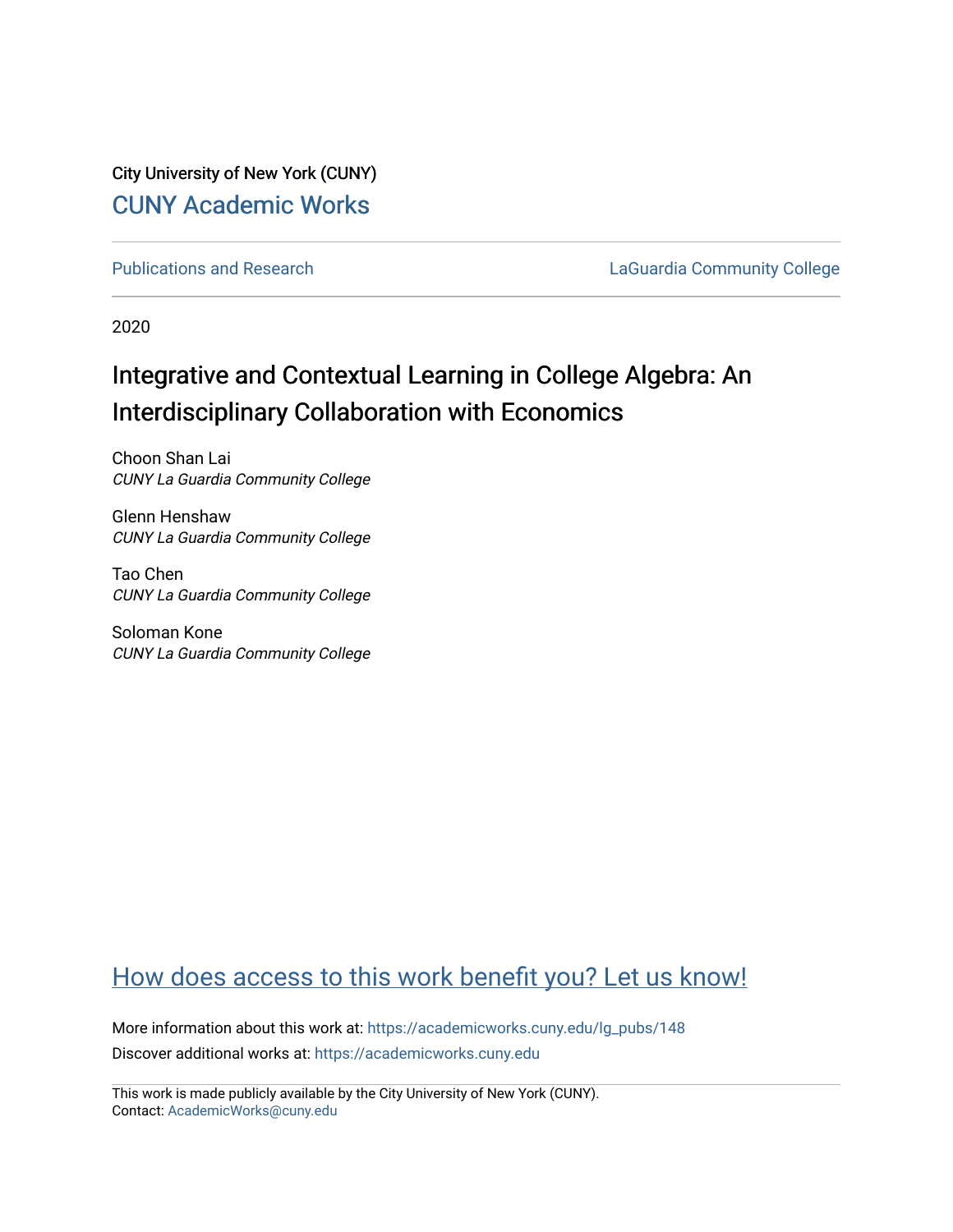City University of New York (CUNY) [CUNY Academic Works](https://academicworks.cuny.edu/) 

[Publications and Research](https://academicworks.cuny.edu/lg_pubs) **LaGuardia Community College** 

2020

## Integrative and Contextual Learning in College Algebra: An Interdisciplinary Collaboration with Economics

Choon Shan Lai CUNY La Guardia Community College

Glenn Henshaw CUNY La Guardia Community College

Tao Chen CUNY La Guardia Community College

Soloman Kone CUNY La Guardia Community College

## [How does access to this work benefit you? Let us know!](http://ols.cuny.edu/academicworks/?ref=https://academicworks.cuny.edu/lg_pubs/148)

More information about this work at: [https://academicworks.cuny.edu/lg\\_pubs/148](https://academicworks.cuny.edu/lg_pubs/148)  Discover additional works at: [https://academicworks.cuny.edu](https://academicworks.cuny.edu/?)

This work is made publicly available by the City University of New York (CUNY). Contact: [AcademicWorks@cuny.edu](mailto:AcademicWorks@cuny.edu)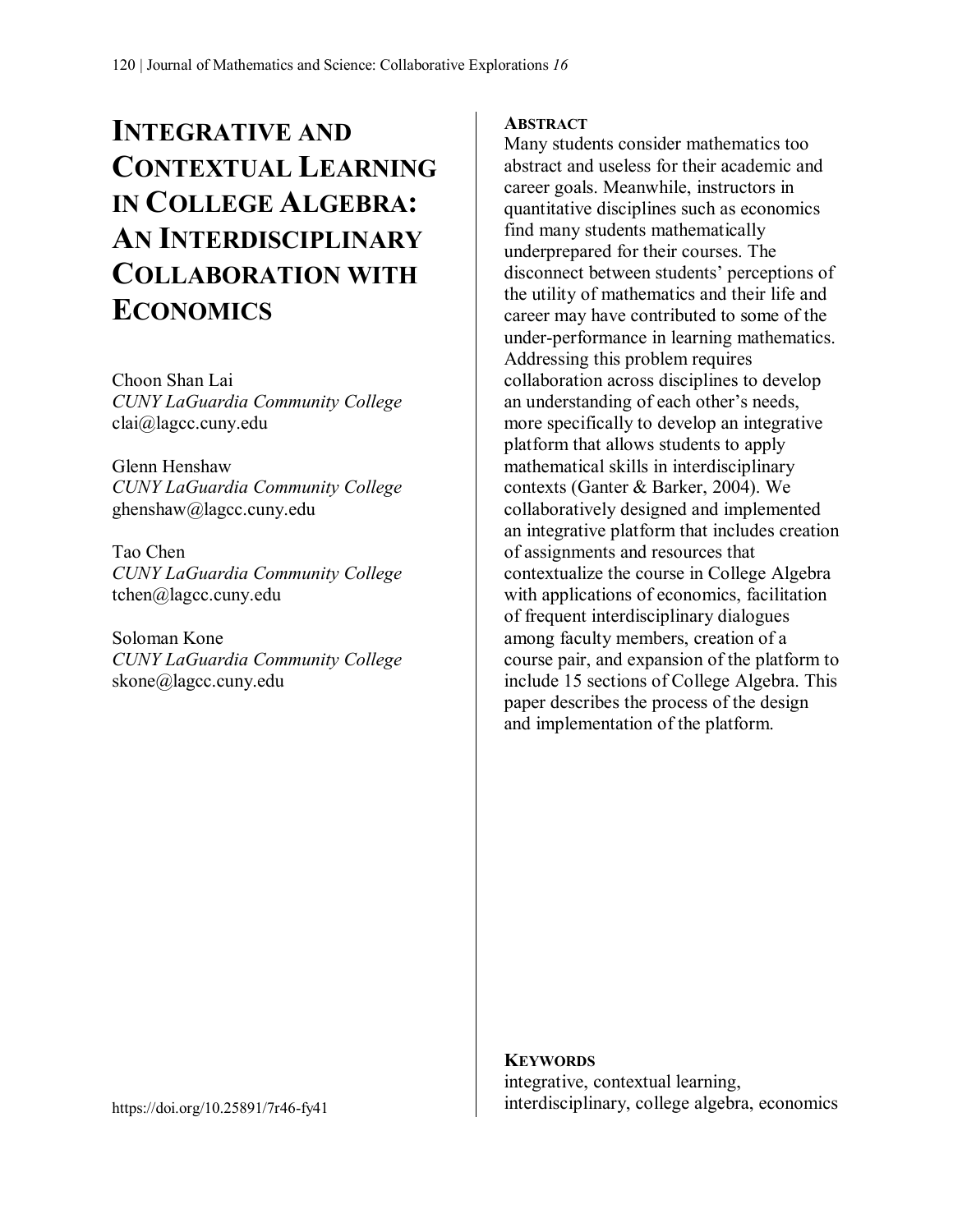# **INTEGRATIVE AND CONTEXTUAL LEARNING IN COLLEGE ALGEBRA: AN INTERDISCIPLINARY COLLABORATION WITH ECONOMICS**

Choon Shan Lai *CUNY LaGuardia Community College* clai@lagcc.cuny.edu

Glenn Henshaw *CUNY LaGuardia Community College* ghenshaw@lagcc.cuny.edu

Tao Chen *CUNY LaGuardia Community College* tchen@lagcc.cuny.edu

Soloman Kone *CUNY LaGuardia Community College* skone@lagcc.cuny.edu

#### **ABSTRACT**

Many students consider mathematics too abstract and useless for their academic and career goals. Meanwhile, instructors in quantitative disciplines such as economics find many students mathematically underprepared for their courses. The disconnect between students' perceptions of the utility of mathematics and their life and career may have contributed to some of the under-performance in learning mathematics. Addressing this problem requires collaboration across disciplines to develop an understanding of each other's needs, more specifically to develop an integrative platform that allows students to apply mathematical skills in interdisciplinary contexts (Ganter & Barker, 2004). We collaboratively designed and implemented an integrative platform that includes creation of assignments and resources that contextualize the course in College Algebra with applications of economics, facilitation of frequent interdisciplinary dialogues among faculty members, creation of a course pair, and expansion of the platform to include 15 sections of College Algebra. This paper describes the process of the design and implementation of the platform.

**KEYWORDS** integrative, contextual learning, interdisciplinary, college algebra, economics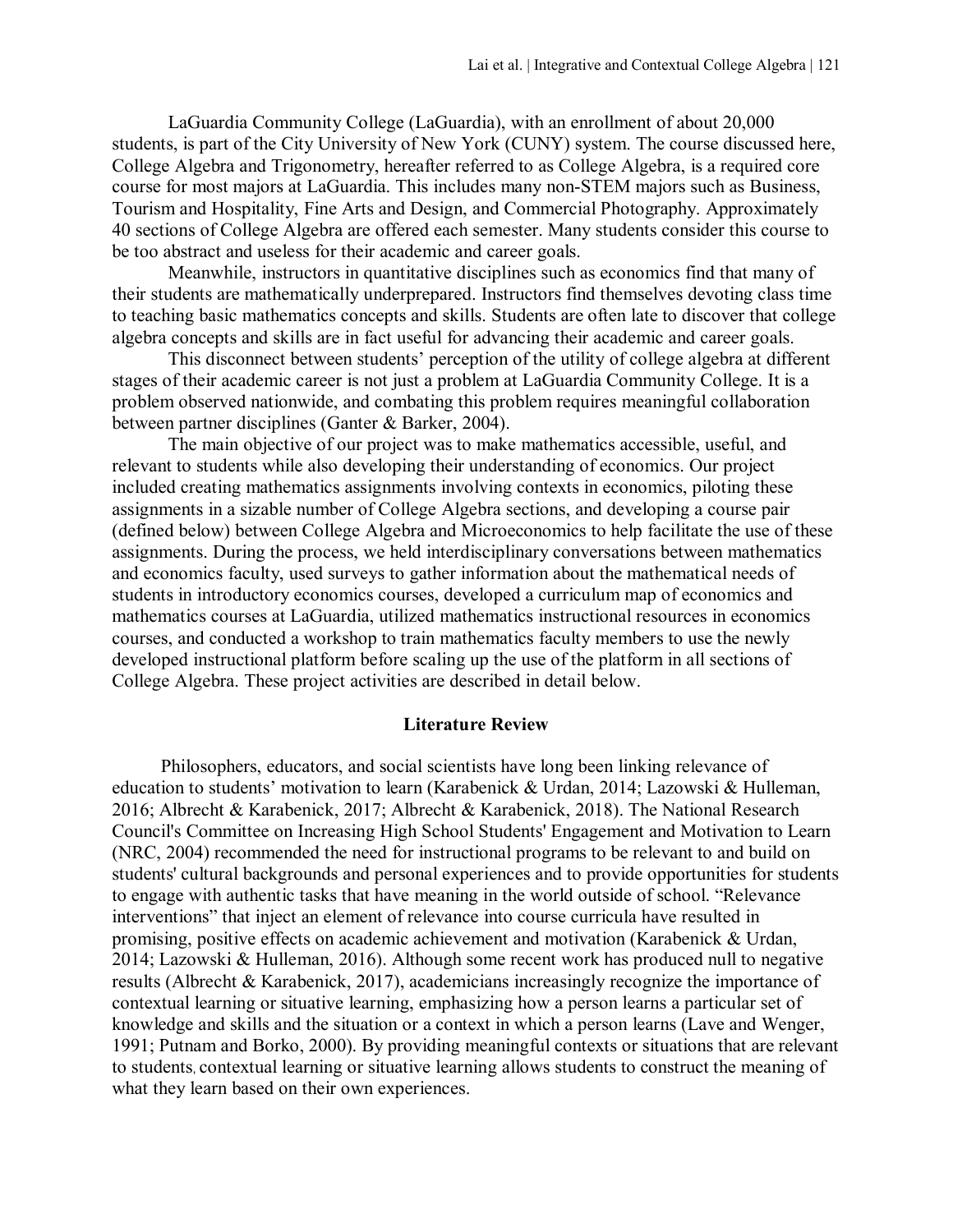LaGuardia Community College (LaGuardia), with an enrollment of about 20,000 students, is part of the City University of New York (CUNY) system. The course discussed here, College Algebra and Trigonometry, hereafter referred to as College Algebra, is a required core course for most majors at LaGuardia. This includes many non-STEM majors such as Business, Tourism and Hospitality, Fine Arts and Design, and Commercial Photography. Approximately 40 sections of College Algebra are offered each semester. Many students consider this course to be too abstract and useless for their academic and career goals.

Meanwhile, instructors in quantitative disciplines such as economics find that many of their students are mathematically underprepared. Instructors find themselves devoting class time to teaching basic mathematics concepts and skills. Students are often late to discover that college algebra concepts and skills are in fact useful for advancing their academic and career goals.

This disconnect between students' perception of the utility of college algebra at different stages of their academic career is not just a problem at LaGuardia Community College. It is a problem observed nationwide, and combating this problem requires meaningful collaboration between partner disciplines (Ganter & Barker, 2004).

The main objective of our project was to make mathematics accessible, useful, and relevant to students while also developing their understanding of economics. Our project included creating mathematics assignments involving contexts in economics, piloting these assignments in a sizable number of College Algebra sections, and developing a course pair (defined below) between College Algebra and Microeconomics to help facilitate the use of these assignments. During the process, we held interdisciplinary conversations between mathematics and economics faculty, used surveys to gather information about the mathematical needs of students in introductory economics courses, developed a curriculum map of economics and mathematics courses at LaGuardia, utilized mathematics instructional resources in economics courses, and conducted a workshop to train mathematics faculty members to use the newly developed instructional platform before scaling up the use of the platform in all sections of College Algebra. These project activities are described in detail below.

#### **Literature Review**

Philosophers, educators, and social scientists have long been linking relevance of education to students' motivation to learn (Karabenick & Urdan, 2014; Lazowski & Hulleman, 2016; Albrecht & Karabenick, 2017; Albrecht & Karabenick, 2018). The National Research Council's Committee on Increasing High School Students' Engagement and Motivation to Learn (NRC, 2004) recommended the need for instructional programs to be relevant to and build on students' cultural backgrounds and personal experiences and to provide opportunities for students to engage with authentic tasks that have meaning in the world outside of school. "Relevance interventions" that inject an element of relevance into course curricula have resulted in promising, positive effects on academic achievement and motivation (Karabenick & Urdan, 2014; Lazowski & Hulleman, 2016). Although some recent work has produced null to negative results (Albrecht & Karabenick, 2017), academicians increasingly recognize the importance of contextual learning or situative learning, emphasizing how a person learns a particular set of knowledge and skills and the situation or a context in which a person learns (Lave and Wenger, 1991; Putnam and Borko, 2000). By providing meaningful contexts or situations that are relevant to students, contextual learning or situative learning allows students to construct the meaning of what they learn based on their own experiences.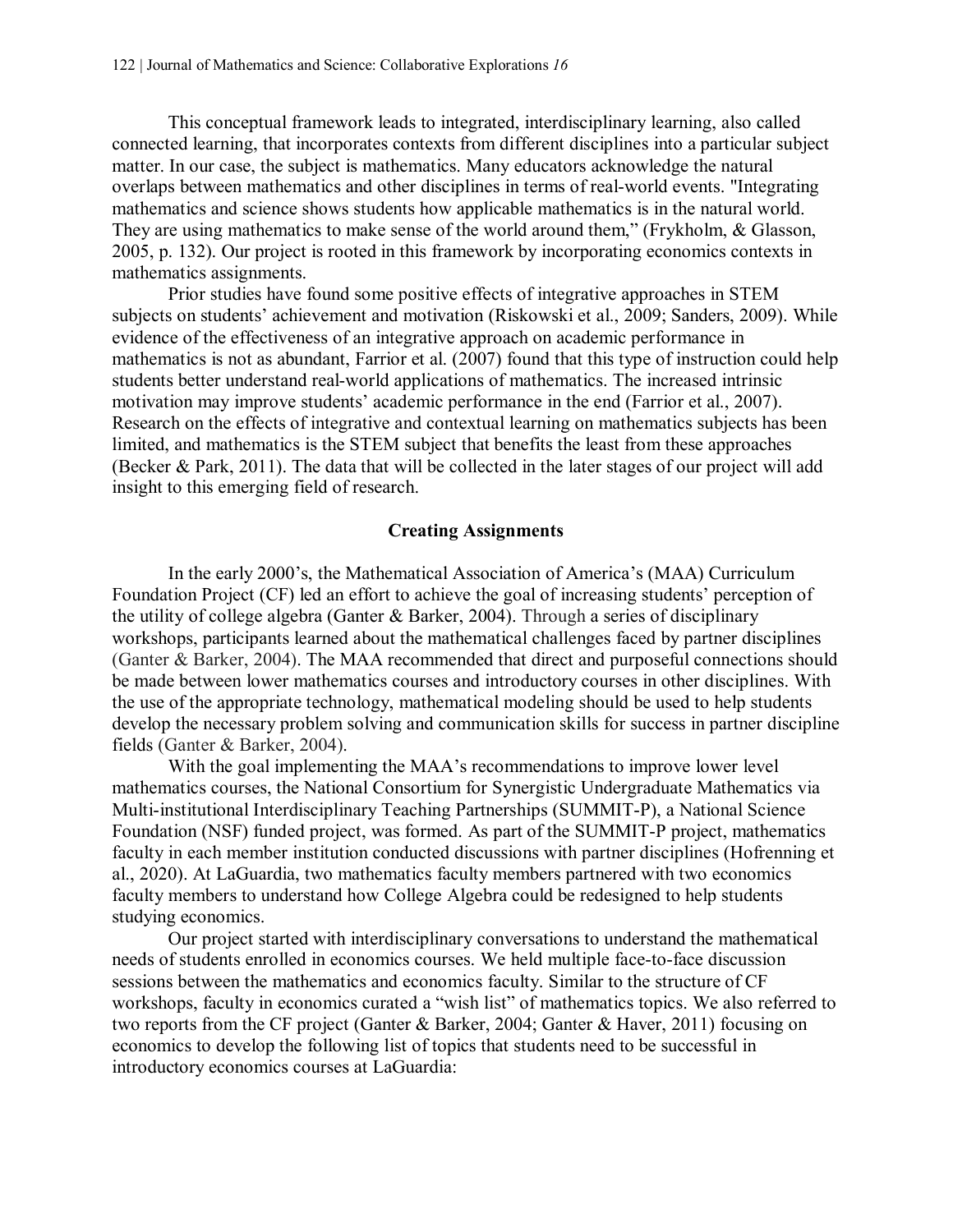This conceptual framework leads to integrated, interdisciplinary learning, also called connected learning, that incorporates contexts from different disciplines into a particular subject matter. In our case, the subject is mathematics. Many educators acknowledge the natural overlaps between mathematics and other disciplines in terms of real-world events. "Integrating mathematics and science shows students how applicable mathematics is in the natural world. They are using mathematics to make sense of the world around them," (Frykholm, & Glasson, 2005, p. 132). Our project is rooted in this framework by incorporating economics contexts in mathematics assignments.

Prior studies have found some positive effects of integrative approaches in STEM subjects on students' achievement and motivation (Riskowski et al., 2009; Sanders, 2009). While evidence of the effectiveness of an integrative approach on academic performance in mathematics is not as abundant, Farrior et al. (2007) found that this type of instruction could help students better understand real-world applications of mathematics. The increased intrinsic motivation may improve students' academic performance in the end (Farrior et al., 2007). Research on the effects of integrative and contextual learning on mathematics subjects has been limited, and mathematics is the STEM subject that benefits the least from these approaches (Becker & Park, 2011). The data that will be collected in the later stages of our project will add insight to this emerging field of research.

#### **Creating Assignments**

In the early 2000's, the Mathematical Association of America's (MAA) Curriculum Foundation Project (CF) led an effort to achieve the goal of increasing students' perception of the utility of college algebra (Ganter & Barker, 2004). Through a series of disciplinary workshops, participants learned about the mathematical challenges faced by partner disciplines (Ganter & Barker, 2004). The MAA recommended that direct and purposeful connections should be made between lower mathematics courses and introductory courses in other disciplines. With the use of the appropriate technology, mathematical modeling should be used to help students develop the necessary problem solving and communication skills for success in partner discipline fields (Ganter & Barker, 2004).

With the goal implementing the MAA's recommendations to improve lower level mathematics courses, the National Consortium for Synergistic Undergraduate Mathematics via Multi-institutional Interdisciplinary Teaching Partnerships (SUMMIT-P), a National Science Foundation (NSF) funded project, was formed. As part of the SUMMIT-P project, mathematics faculty in each member institution conducted discussions with partner disciplines (Hofrenning et al., 2020). At LaGuardia, two mathematics faculty members partnered with two economics faculty members to understand how College Algebra could be redesigned to help students studying economics.

Our project started with interdisciplinary conversations to understand the mathematical needs of students enrolled in economics courses. We held multiple face-to-face discussion sessions between the mathematics and economics faculty. Similar to the structure of CF workshops, faculty in economics curated a "wish list" of mathematics topics. We also referred to two reports from the CF project (Ganter & Barker, 2004; Ganter & Haver, 2011) focusing on economics to develop the following list of topics that students need to be successful in introductory economics courses at LaGuardia: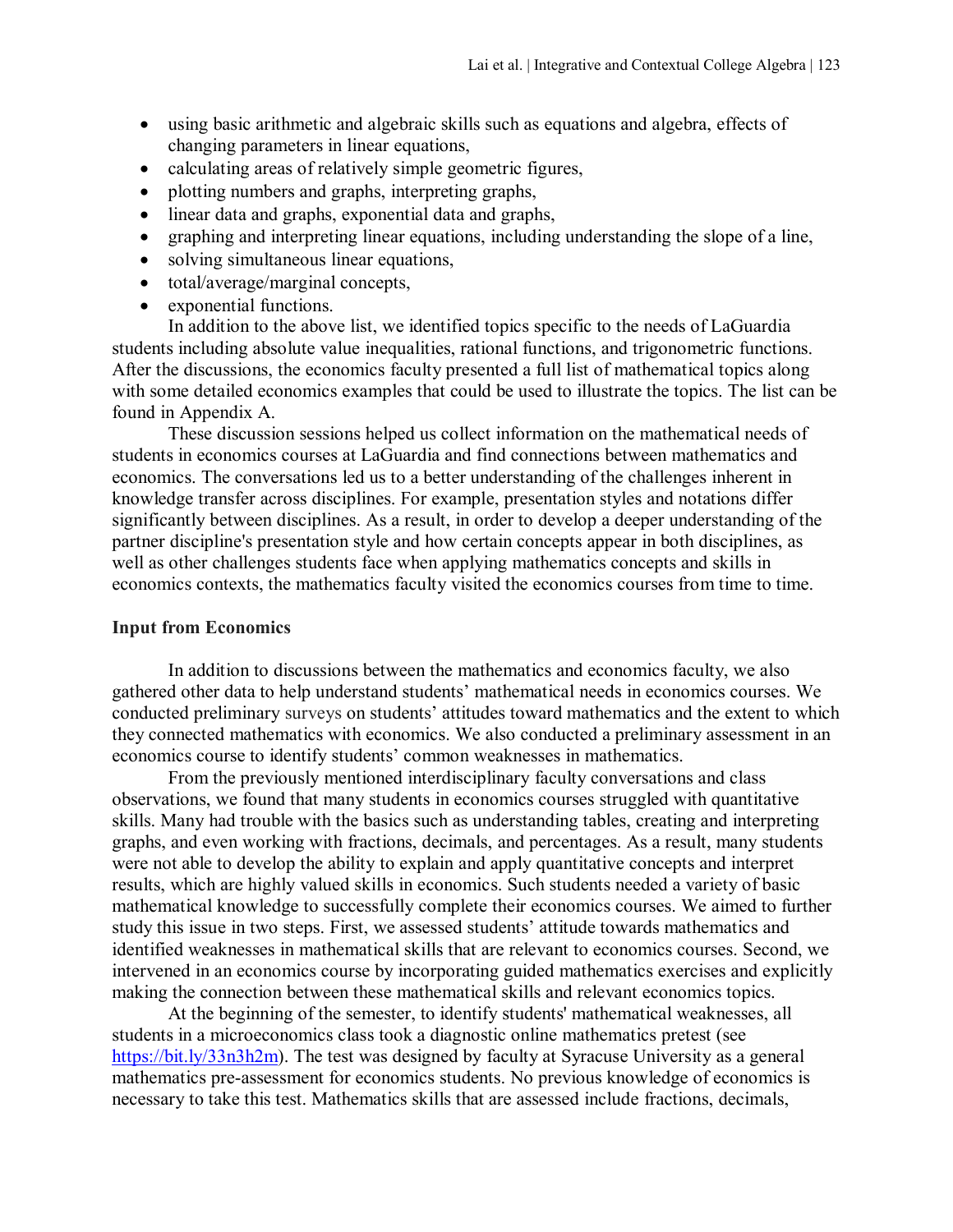- using basic arithmetic and algebraic skills such as equations and algebra, effects of changing parameters in linear equations,
- calculating areas of relatively simple geometric figures,
- plotting numbers and graphs, interpreting graphs,
- linear data and graphs, exponential data and graphs,
- graphing and interpreting linear equations, including understanding the slope of a line,
- solving simultaneous linear equations,
- total/average/marginal concepts,
- exponential functions.

In addition to the above list, we identified topics specific to the needs of LaGuardia students including absolute value inequalities, rational functions, and trigonometric functions. After the discussions, the economics faculty presented a full list of mathematical topics along with some detailed economics examples that could be used to illustrate the topics. The list can be found in Appendix A.

These discussion sessions helped us collect information on the mathematical needs of students in economics courses at LaGuardia and find connections between mathematics and economics. The conversations led us to a better understanding of the challenges inherent in knowledge transfer across disciplines. For example, presentation styles and notations differ significantly between disciplines. As a result, in order to develop a deeper understanding of the partner discipline's presentation style and how certain concepts appear in both disciplines, as well as other challenges students face when applying mathematics concepts and skills in economics contexts, the mathematics faculty visited the economics courses from time to time.

#### **Input from Economics**

In addition to discussions between the mathematics and economics faculty, we also gathered other data to help understand students' mathematical needs in economics courses. We conducted preliminary surveys on students' attitudes toward mathematics and the extent to which they connected mathematics with economics. We also conducted a preliminary assessment in an economics course to identify students' common weaknesses in mathematics.

From the previously mentioned interdisciplinary faculty conversations and class observations, we found that many students in economics courses struggled with quantitative skills. Many had trouble with the basics such as understanding tables, creating and interpreting graphs, and even working with fractions, decimals, and percentages. As a result, many students were not able to develop the ability to explain and apply quantitative concepts and interpret results, which are highly valued skills in economics. Such students needed a variety of basic mathematical knowledge to successfully complete their economics courses. We aimed to further study this issue in two steps. First, we assessed students' attitude towards mathematics and identified weaknesses in mathematical skills that are relevant to economics courses. Second, we intervened in an economics course by incorporating guided mathematics exercises and explicitly making the connection between these mathematical skills and relevant economics topics.

At the beginning of the semester, to identify students' mathematical weaknesses, all students in a microeconomics class took a diagnostic online mathematics pretest (see [https://bit.ly/33n3h2m\)](https://bit.ly/33n3h2m). The test was designed by faculty at Syracuse University as a general mathematics pre-assessment for economics students. No previous knowledge of economics is necessary to take this test. Mathematics skills that are assessed include fractions, decimals,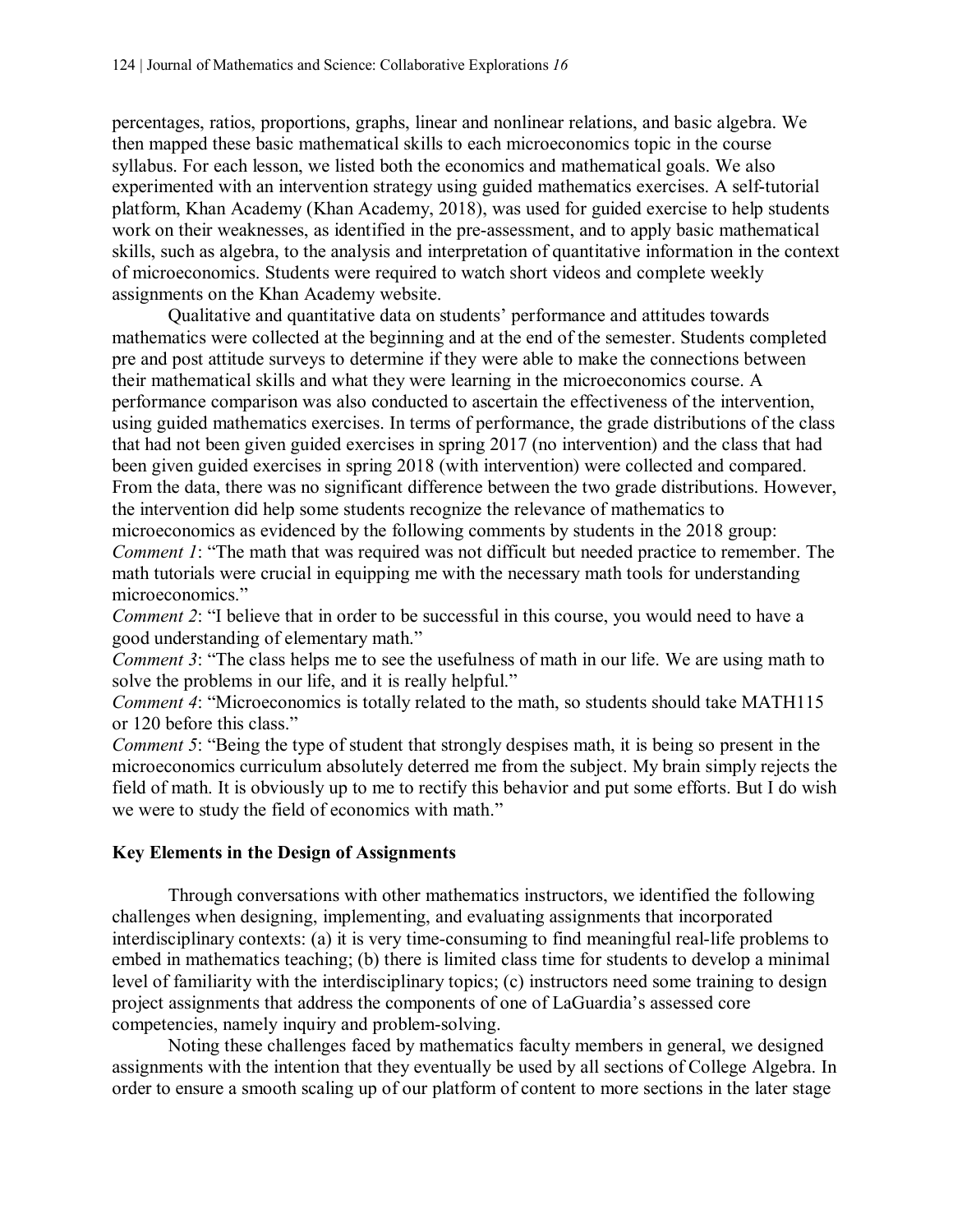percentages, ratios, proportions, graphs, linear and nonlinear relations, and basic algebra. We then mapped these basic mathematical skills to each microeconomics topic in the course syllabus. For each lesson, we listed both the economics and mathematical goals. We also experimented with an intervention strategy using guided mathematics exercises. A self-tutorial platform, Khan Academy (Khan Academy, 2018), was used for guided exercise to help students work on their weaknesses, as identified in the pre-assessment, and to apply basic mathematical skills, such as algebra, to the analysis and interpretation of quantitative information in the context of microeconomics. Students were required to watch short videos and complete weekly assignments on the Khan Academy website.

Qualitative and quantitative data on students' performance and attitudes towards mathematics were collected at the beginning and at the end of the semester. Students completed pre and post attitude surveys to determine if they were able to make the connections between their mathematical skills and what they were learning in the microeconomics course. A performance comparison was also conducted to ascertain the effectiveness of the intervention, using guided mathematics exercises. In terms of performance, the grade distributions of the class that had not been given guided exercises in spring 2017 (no intervention) and the class that had been given guided exercises in spring 2018 (with intervention) were collected and compared. From the data, there was no significant difference between the two grade distributions. However, the intervention did help some students recognize the relevance of mathematics to microeconomics as evidenced by the following comments by students in the 2018 group: *Comment 1*: "The math that was required was not difficult but needed practice to remember. The math tutorials were crucial in equipping me with the necessary math tools for understanding microeconomics."

*Comment 2*: "I believe that in order to be successful in this course, you would need to have a good understanding of elementary math."

*Comment 3*: "The class helps me to see the usefulness of math in our life. We are using math to solve the problems in our life, and it is really helpful."

*Comment 4*: "Microeconomics is totally related to the math, so students should take MATH115 or 120 before this class."

*Comment 5*: "Being the type of student that strongly despises math, it is being so present in the microeconomics curriculum absolutely deterred me from the subject. My brain simply rejects the field of math. It is obviously up to me to rectify this behavior and put some efforts. But I do wish we were to study the field of economics with math."

## **Key Elements in the Design of Assignments**

Through conversations with other mathematics instructors, we identified the following challenges when designing, implementing, and evaluating assignments that incorporated interdisciplinary contexts: (a) it is very time-consuming to find meaningful real-life problems to embed in mathematics teaching; (b) there is limited class time for students to develop a minimal level of familiarity with the interdisciplinary topics; (c) instructors need some training to design project assignments that address the components of one of LaGuardia's assessed core competencies, namely inquiry and problem-solving.

Noting these challenges faced by mathematics faculty members in general, we designed assignments with the intention that they eventually be used by all sections of College Algebra. In order to ensure a smooth scaling up of our platform of content to more sections in the later stage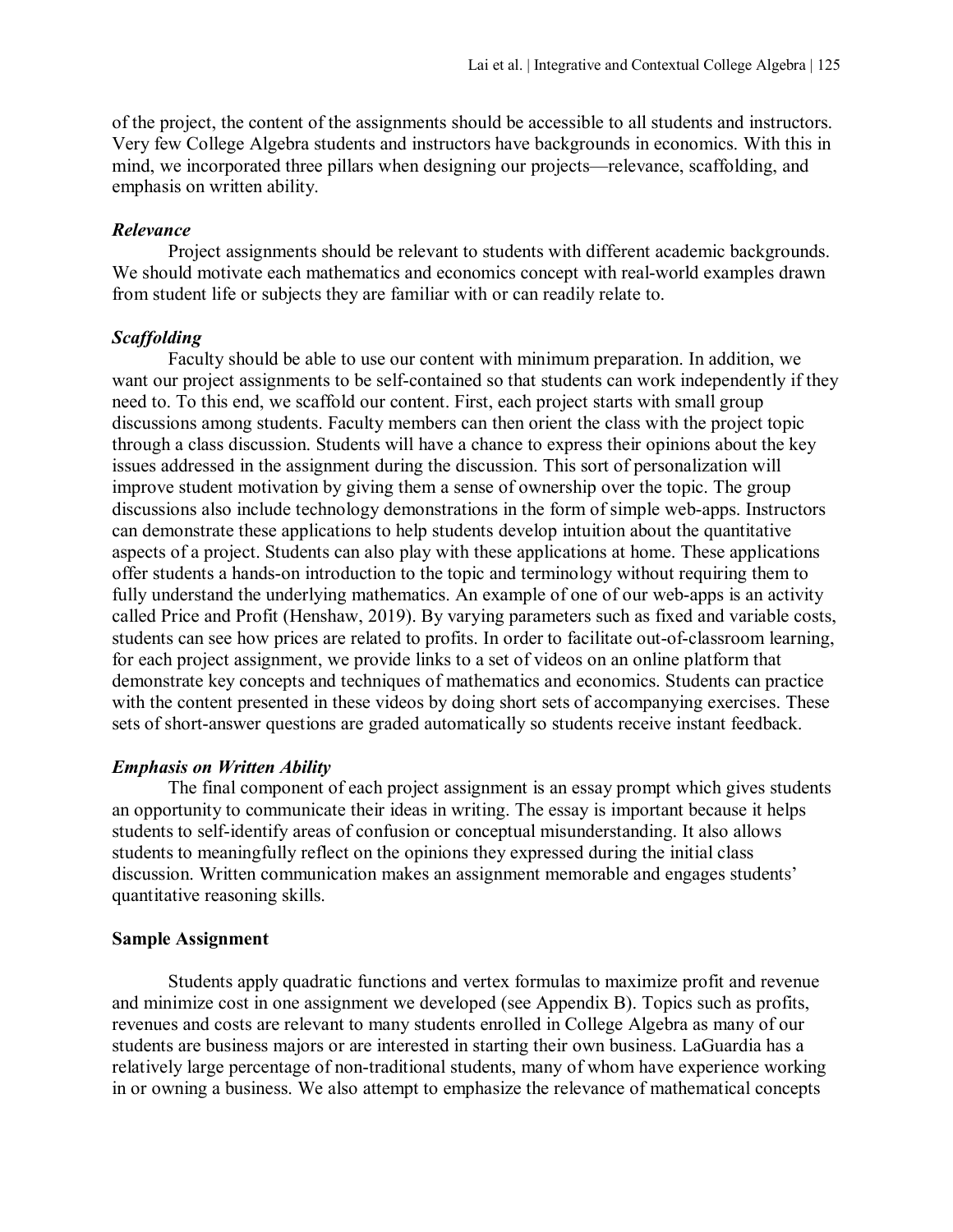of the project, the content of the assignments should be accessible to all students and instructors. Very few College Algebra students and instructors have backgrounds in economics. With this in mind, we incorporated three pillars when designing our projects—relevance, scaffolding, and emphasis on written ability.

#### *Relevance*

Project assignments should be relevant to students with different academic backgrounds. We should motivate each mathematics and economics concept with real-world examples drawn from student life or subjects they are familiar with or can readily relate to.

#### *Scaffolding*

Faculty should be able to use our content with minimum preparation. In addition, we want our project assignments to be self-contained so that students can work independently if they need to. To this end, we scaffold our content. First, each project starts with small group discussions among students. Faculty members can then orient the class with the project topic through a class discussion. Students will have a chance to express their opinions about the key issues addressed in the assignment during the discussion. This sort of personalization will improve student motivation by giving them a sense of ownership over the topic. The group discussions also include technology demonstrations in the form of simple web-apps. Instructors can demonstrate these applications to help students develop intuition about the quantitative aspects of a project. Students can also play with these applications at home. These applications offer students a hands-on introduction to the topic and terminology without requiring them to fully understand the underlying mathematics. An example of one of our web-apps is an activity called Price and Profit (Henshaw, 2019). By varying parameters such as fixed and variable costs, students can see how prices are related to profits. In order to facilitate out-of-classroom learning, for each project assignment, we provide links to a set of videos on an online platform that demonstrate key concepts and techniques of mathematics and economics. Students can practice with the content presented in these videos by doing short sets of accompanying exercises. These sets of short-answer questions are graded automatically so students receive instant feedback.

#### *Emphasis on Written Ability*

The final component of each project assignment is an essay prompt which gives students an opportunity to communicate their ideas in writing. The essay is important because it helps students to self-identify areas of confusion or conceptual misunderstanding. It also allows students to meaningfully reflect on the opinions they expressed during the initial class discussion. Written communication makes an assignment memorable and engages students' quantitative reasoning skills.

#### **Sample Assignment**

Students apply quadratic functions and vertex formulas to maximize profit and revenue and minimize cost in one assignment we developed (see Appendix B). Topics such as profits, revenues and costs are relevant to many students enrolled in College Algebra as many of our students are business majors or are interested in starting their own business. LaGuardia has a relatively large percentage of non-traditional students, many of whom have experience working in or owning a business. We also attempt to emphasize the relevance of mathematical concepts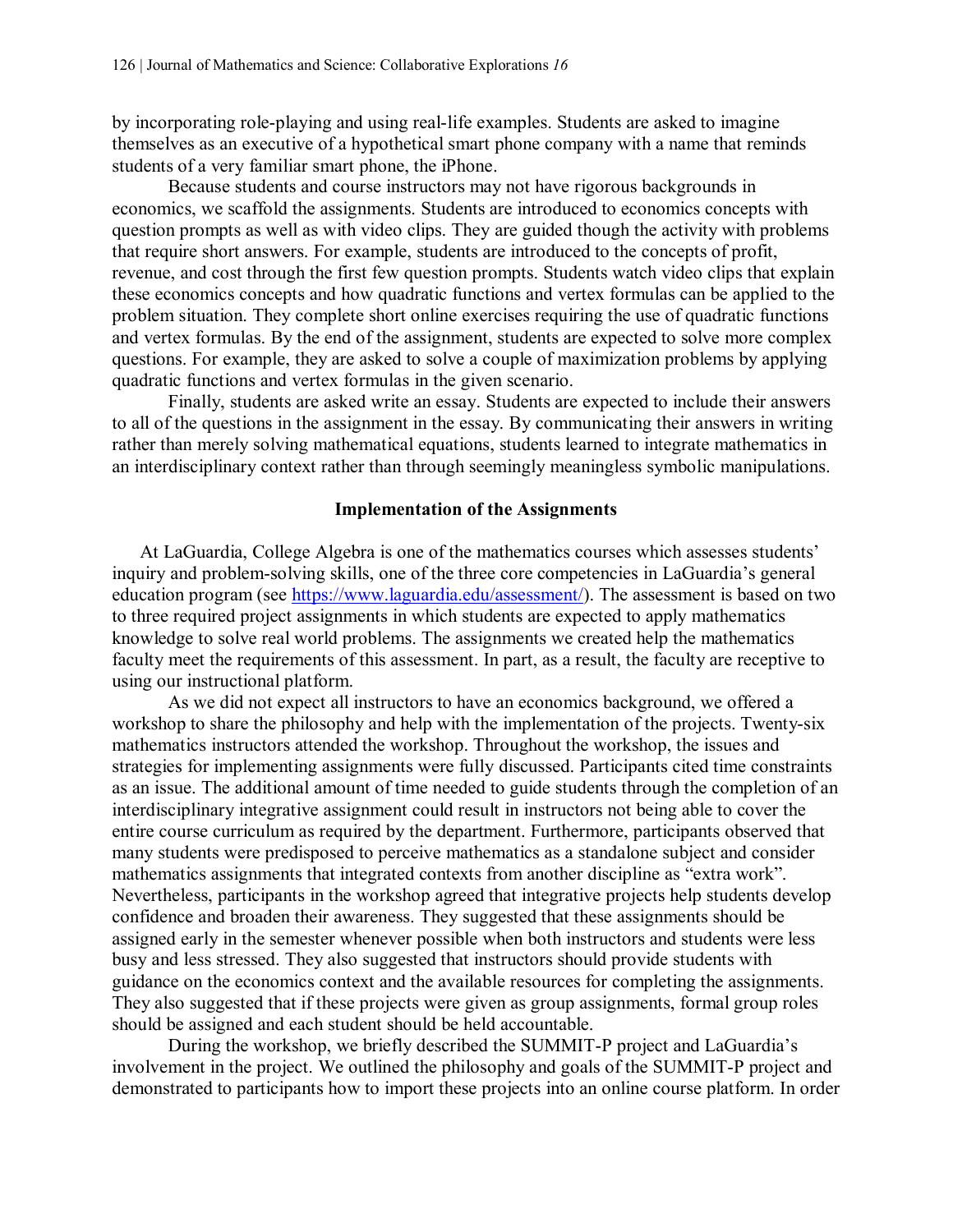by incorporating role-playing and using real-life examples. Students are asked to imagine themselves as an executive of a hypothetical smart phone company with a name that reminds students of a very familiar smart phone, the iPhone.

Because students and course instructors may not have rigorous backgrounds in economics, we scaffold the assignments. Students are introduced to economics concepts with question prompts as well as with video clips. They are guided though the activity with problems that require short answers. For example, students are introduced to the concepts of profit, revenue, and cost through the first few question prompts. Students watch video clips that explain these economics concepts and how quadratic functions and vertex formulas can be applied to the problem situation. They complete short online exercises requiring the use of quadratic functions and vertex formulas. By the end of the assignment, students are expected to solve more complex questions. For example, they are asked to solve a couple of maximization problems by applying quadratic functions and vertex formulas in the given scenario.

Finally, students are asked write an essay. Students are expected to include their answers to all of the questions in the assignment in the essay. By communicating their answers in writing rather than merely solving mathematical equations, students learned to integrate mathematics in an interdisciplinary context rather than through seemingly meaningless symbolic manipulations.

#### **Implementation of the Assignments**

At LaGuardia, College Algebra is one of the mathematics courses which assesses students' inquiry and problem-solving skills, one of the three core competencies in LaGuardia's general education program (see [https://www.laguardia.edu/assessment/\)](https://www.laguardia.edu/assessment/). The assessment is based on two to three required project assignments in which students are expected to apply mathematics knowledge to solve real world problems. The assignments we created help the mathematics faculty meet the requirements of this assessment. In part, as a result, the faculty are receptive to using our instructional platform.

As we did not expect all instructors to have an economics background, we offered a workshop to share the philosophy and help with the implementation of the projects. Twenty-six mathematics instructors attended the workshop. Throughout the workshop, the issues and strategies for implementing assignments were fully discussed. Participants cited time constraints as an issue. The additional amount of time needed to guide students through the completion of an interdisciplinary integrative assignment could result in instructors not being able to cover the entire course curriculum as required by the department. Furthermore, participants observed that many students were predisposed to perceive mathematics as a standalone subject and consider mathematics assignments that integrated contexts from another discipline as "extra work". Nevertheless, participants in the workshop agreed that integrative projects help students develop confidence and broaden their awareness. They suggested that these assignments should be assigned early in the semester whenever possible when both instructors and students were less busy and less stressed. They also suggested that instructors should provide students with guidance on the economics context and the available resources for completing the assignments. They also suggested that if these projects were given as group assignments, formal group roles should be assigned and each student should be held accountable.

During the workshop, we briefly described the SUMMIT-P project and LaGuardia's involvement in the project. We outlined the philosophy and goals of the SUMMIT-P project and demonstrated to participants how to import these projects into an online course platform. In order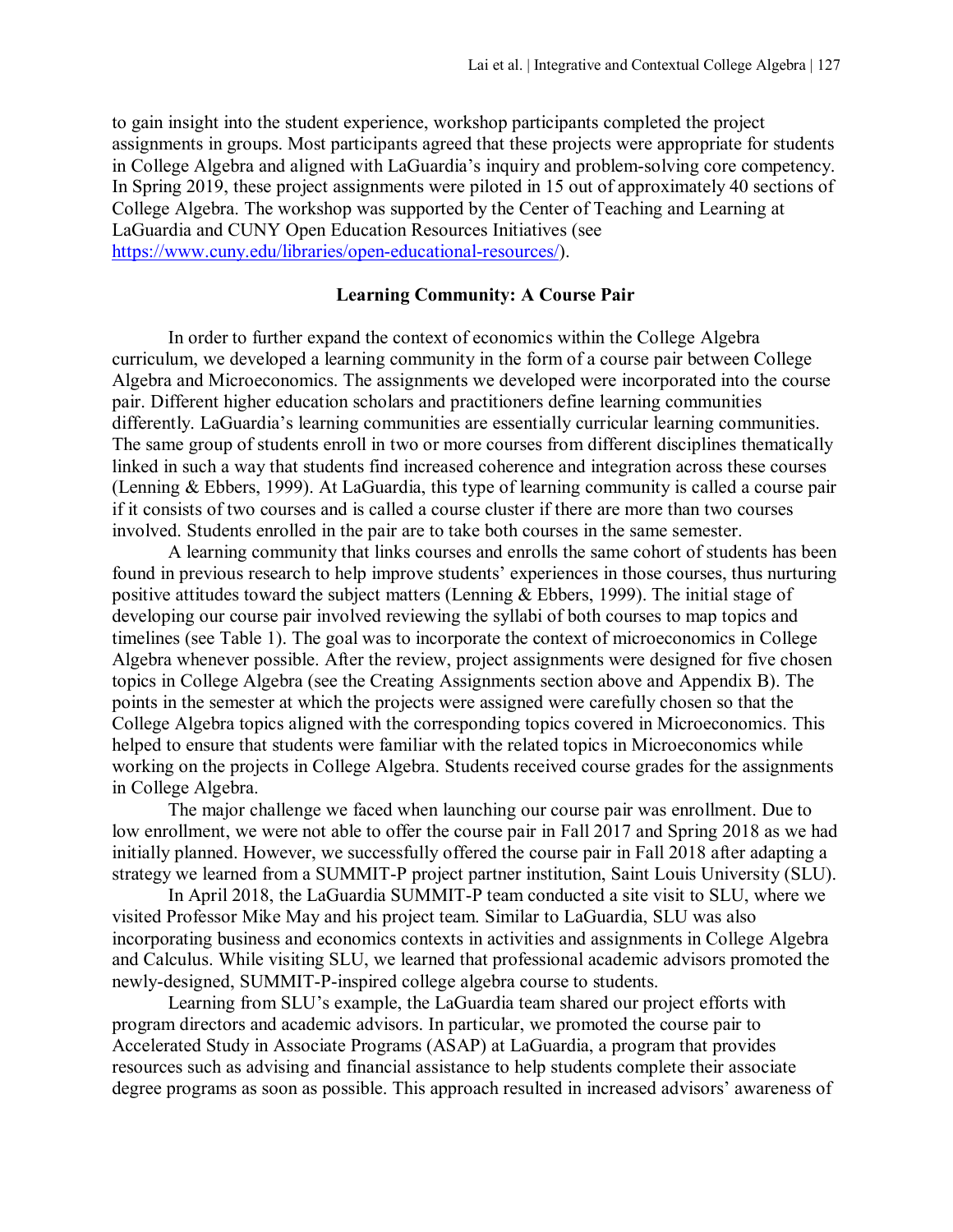to gain insight into the student experience, workshop participants completed the project assignments in groups. Most participants agreed that these projects were appropriate for students in College Algebra and aligned with LaGuardia's inquiry and problem-solving core competency. In Spring 2019, these project assignments were piloted in 15 out of approximately 40 sections of College Algebra. The workshop was supported by the Center of Teaching and Learning at LaGuardia and CUNY Open Education Resources Initiatives (see [https://www.cuny.edu/libraries/open-educational-resources/\)](https://www.cuny.edu/libraries/open-educational-resources/).

#### **Learning Community: A Course Pair**

In order to further expand the context of economics within the College Algebra curriculum, we developed a learning community in the form of a course pair between College Algebra and Microeconomics. The assignments we developed were incorporated into the course pair. Different higher education scholars and practitioners define learning communities differently. LaGuardia's learning communities are essentially curricular learning communities. The same group of students enroll in two or more courses from different disciplines thematically linked in such a way that students find increased coherence and integration across these courses (Lenning & Ebbers, 1999). At LaGuardia, this type of learning community is called a course pair if it consists of two courses and is called a course cluster if there are more than two courses involved. Students enrolled in the pair are to take both courses in the same semester.

A learning community that links courses and enrolls the same cohort of students has been found in previous research to help improve students' experiences in those courses, thus nurturing positive attitudes toward the subject matters (Lenning & Ebbers, 1999). The initial stage of developing our course pair involved reviewing the syllabi of both courses to map topics and timelines (see Table 1). The goal was to incorporate the context of microeconomics in College Algebra whenever possible. After the review, project assignments were designed for five chosen topics in College Algebra (see the Creating Assignments section above and Appendix B). The points in the semester at which the projects were assigned were carefully chosen so that the College Algebra topics aligned with the corresponding topics covered in Microeconomics. This helped to ensure that students were familiar with the related topics in Microeconomics while working on the projects in College Algebra. Students received course grades for the assignments in College Algebra.

The major challenge we faced when launching our course pair was enrollment. Due to low enrollment, we were not able to offer the course pair in Fall 2017 and Spring 2018 as we had initially planned. However, we successfully offered the course pair in Fall 2018 after adapting a strategy we learned from a SUMMIT-P project partner institution, Saint Louis University (SLU).

In April 2018, the LaGuardia SUMMIT-P team conducted a site visit to SLU, where we visited Professor Mike May and his project team. Similar to LaGuardia, SLU was also incorporating business and economics contexts in activities and assignments in College Algebra and Calculus. While visiting SLU, we learned that professional academic advisors promoted the newly-designed, SUMMIT-P-inspired college algebra course to students.

Learning from SLU's example, the LaGuardia team shared our project efforts with program directors and academic advisors. In particular, we promoted the course pair to Accelerated Study in Associate Programs (ASAP) at LaGuardia, a program that provides resources such as advising and financial assistance to help students complete their associate degree programs as soon as possible. This approach resulted in increased advisors' awareness of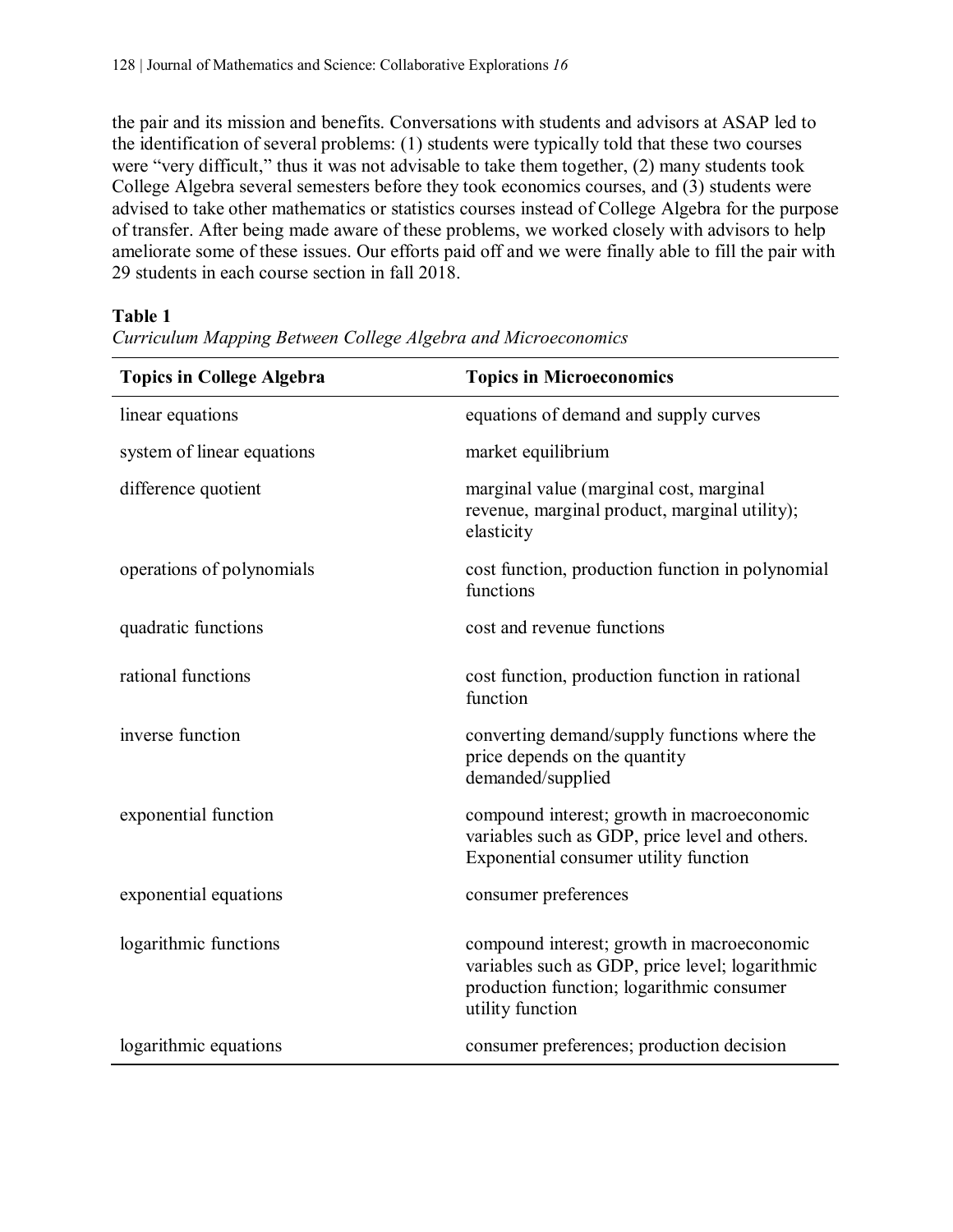the pair and its mission and benefits. Conversations with students and advisors at ASAP led to the identification of several problems: (1) students were typically told that these two courses were "very difficult," thus it was not advisable to take them together, (2) many students took College Algebra several semesters before they took economics courses, and (3) students were advised to take other mathematics or statistics courses instead of College Algebra for the purpose of transfer. After being made aware of these problems, we worked closely with advisors to help ameliorate some of these issues. Our efforts paid off and we were finally able to fill the pair with 29 students in each course section in fall 2018.

## **Table 1**

| <b>Topics in College Algebra</b> | <b>Topics in Microeconomics</b>                                                                                                                                |
|----------------------------------|----------------------------------------------------------------------------------------------------------------------------------------------------------------|
| linear equations                 | equations of demand and supply curves                                                                                                                          |
| system of linear equations       | market equilibrium                                                                                                                                             |
| difference quotient              | marginal value (marginal cost, marginal<br>revenue, marginal product, marginal utility);<br>elasticity                                                         |
| operations of polynomials        | cost function, production function in polynomial<br>functions                                                                                                  |
| quadratic functions              | cost and revenue functions                                                                                                                                     |
| rational functions               | cost function, production function in rational<br>function                                                                                                     |
| inverse function                 | converting demand/supply functions where the<br>price depends on the quantity<br>demanded/supplied                                                             |
| exponential function             | compound interest; growth in macroeconomic<br>variables such as GDP, price level and others.<br>Exponential consumer utility function                          |
| exponential equations            | consumer preferences                                                                                                                                           |
| logarithmic functions            | compound interest; growth in macroeconomic<br>variables such as GDP, price level; logarithmic<br>production function; logarithmic consumer<br>utility function |
| logarithmic equations            | consumer preferences; production decision                                                                                                                      |

*Curriculum Mapping Between College Algebra and Microeconomics*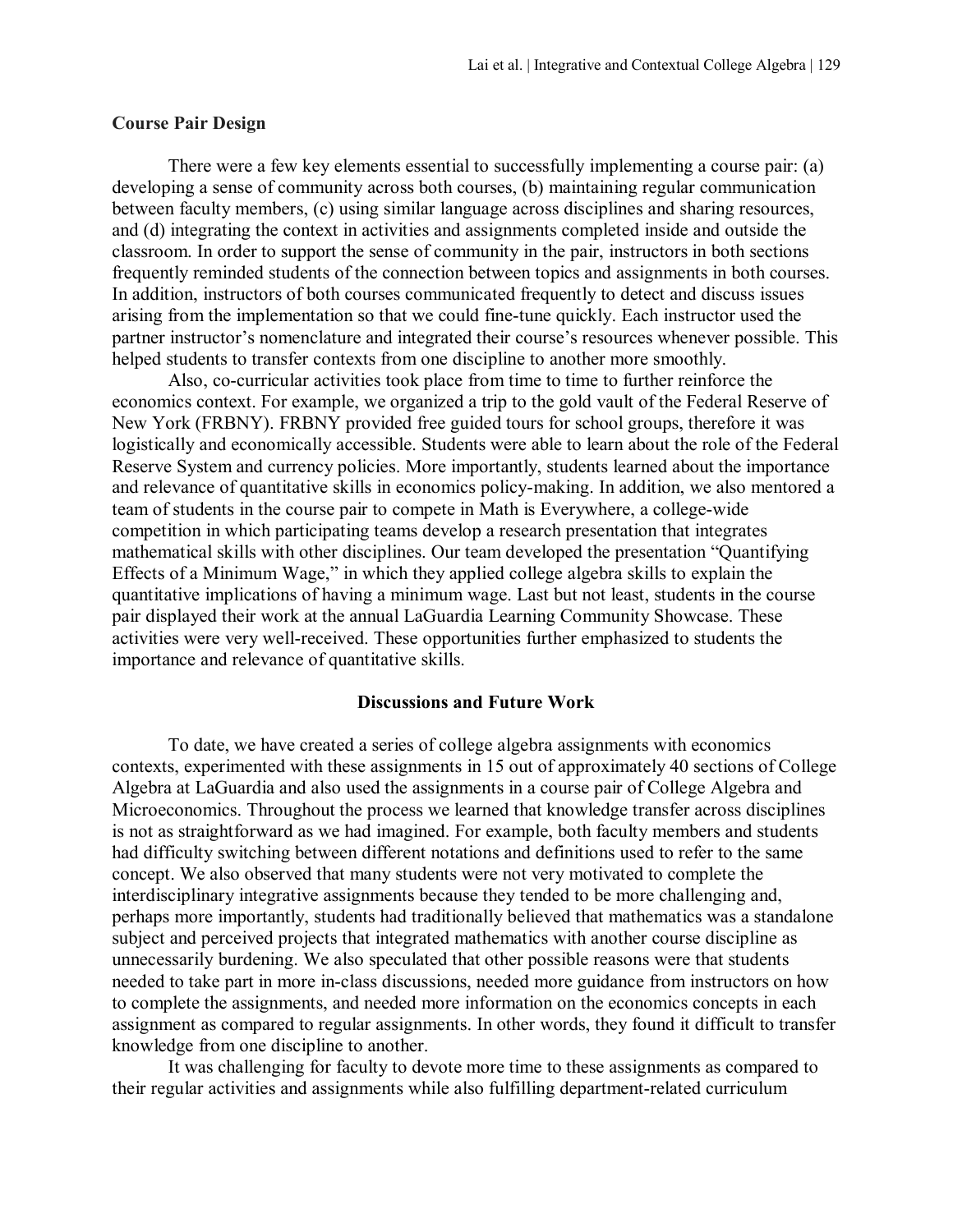### **Course Pair Design**

There were a few key elements essential to successfully implementing a course pair: (a) developing a sense of community across both courses, (b) maintaining regular communication between faculty members, (c) using similar language across disciplines and sharing resources, and (d) integrating the context in activities and assignments completed inside and outside the classroom. In order to support the sense of community in the pair, instructors in both sections frequently reminded students of the connection between topics and assignments in both courses. In addition, instructors of both courses communicated frequently to detect and discuss issues arising from the implementation so that we could fine-tune quickly. Each instructor used the partner instructor's nomenclature and integrated their course's resources whenever possible. This helped students to transfer contexts from one discipline to another more smoothly.

Also, co-curricular activities took place from time to time to further reinforce the economics context. For example, we organized a trip to the gold vault of the Federal Reserve of New York (FRBNY). FRBNY provided free guided tours for school groups, therefore it was logistically and economically accessible. Students were able to learn about the role of the Federal Reserve System and currency policies. More importantly, students learned about the importance and relevance of quantitative skills in economics policy-making. In addition, we also mentored a team of students in the course pair to compete in Math is Everywhere, a college-wide competition in which participating teams develop a research presentation that integrates mathematical skills with other disciplines. Our team developed the presentation "Quantifying Effects of a Minimum Wage," in which they applied college algebra skills to explain the quantitative implications of having a minimum wage. Last but not least, students in the course pair displayed their work at the annual LaGuardia Learning Community Showcase. These activities were very well-received. These opportunities further emphasized to students the importance and relevance of quantitative skills.

#### **Discussions and Future Work**

To date, we have created a series of college algebra assignments with economics contexts, experimented with these assignments in 15 out of approximately 40 sections of College Algebra at LaGuardia and also used the assignments in a course pair of College Algebra and Microeconomics. Throughout the process we learned that knowledge transfer across disciplines is not as straightforward as we had imagined. For example, both faculty members and students had difficulty switching between different notations and definitions used to refer to the same concept. We also observed that many students were not very motivated to complete the interdisciplinary integrative assignments because they tended to be more challenging and, perhaps more importantly, students had traditionally believed that mathematics was a standalone subject and perceived projects that integrated mathematics with another course discipline as unnecessarily burdening. We also speculated that other possible reasons were that students needed to take part in more in-class discussions, needed more guidance from instructors on how to complete the assignments, and needed more information on the economics concepts in each assignment as compared to regular assignments. In other words, they found it difficult to transfer knowledge from one discipline to another.

It was challenging for faculty to devote more time to these assignments as compared to their regular activities and assignments while also fulfilling department-related curriculum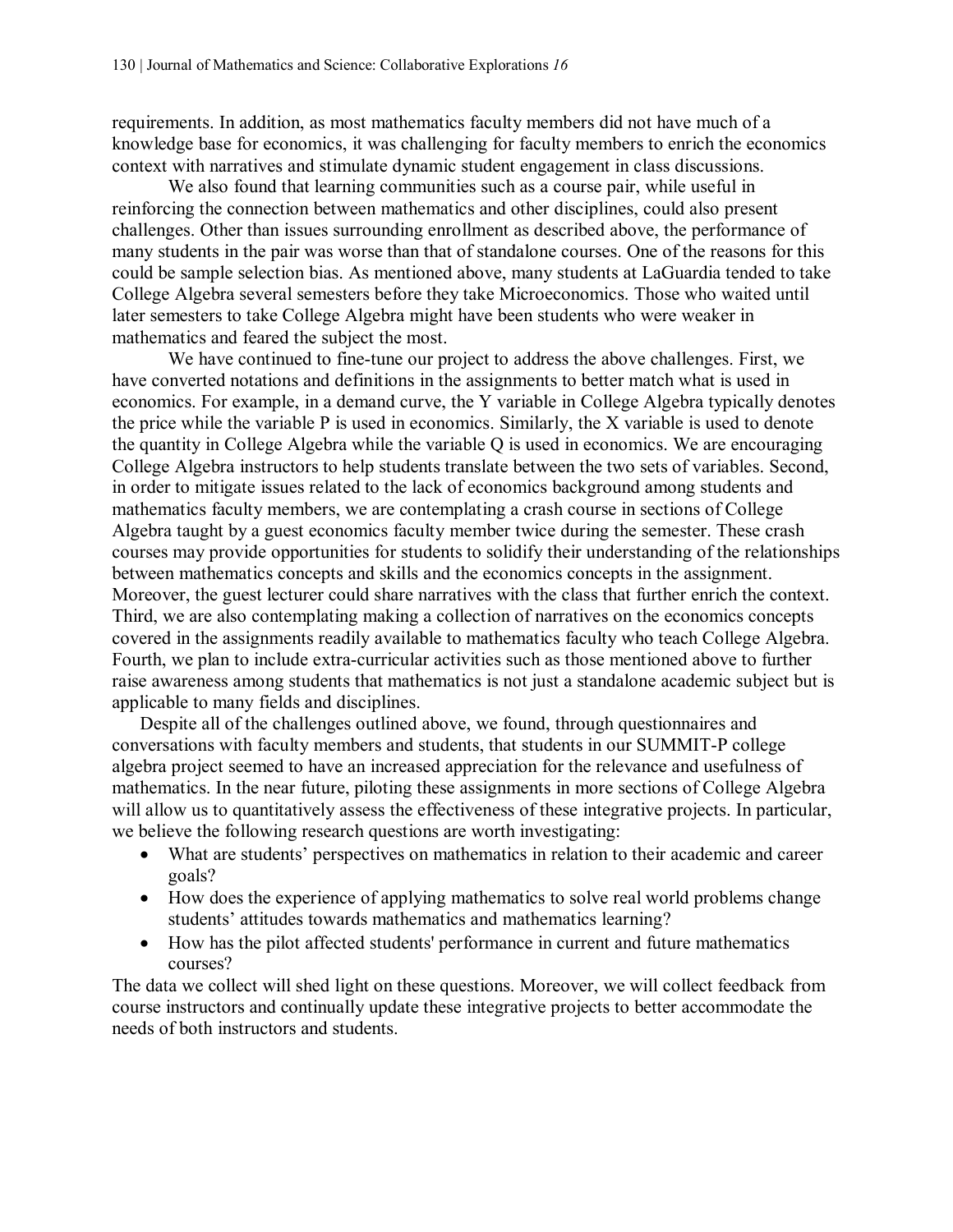requirements. In addition, as most mathematics faculty members did not have much of a knowledge base for economics, it was challenging for faculty members to enrich the economics context with narratives and stimulate dynamic student engagement in class discussions.

We also found that learning communities such as a course pair, while useful in reinforcing the connection between mathematics and other disciplines, could also present challenges. Other than issues surrounding enrollment as described above, the performance of many students in the pair was worse than that of standalone courses. One of the reasons for this could be sample selection bias. As mentioned above, many students at LaGuardia tended to take College Algebra several semesters before they take Microeconomics. Those who waited until later semesters to take College Algebra might have been students who were weaker in mathematics and feared the subject the most.

We have continued to fine-tune our project to address the above challenges. First, we have converted notations and definitions in the assignments to better match what is used in economics. For example, in a demand curve, the Y variable in College Algebra typically denotes the price while the variable P is used in economics. Similarly, the X variable is used to denote the quantity in College Algebra while the variable Q is used in economics. We are encouraging College Algebra instructors to help students translate between the two sets of variables. Second, in order to mitigate issues related to the lack of economics background among students and mathematics faculty members, we are contemplating a crash course in sections of College Algebra taught by a guest economics faculty member twice during the semester. These crash courses may provide opportunities for students to solidify their understanding of the relationships between mathematics concepts and skills and the economics concepts in the assignment. Moreover, the guest lecturer could share narratives with the class that further enrich the context. Third, we are also contemplating making a collection of narratives on the economics concepts covered in the assignments readily available to mathematics faculty who teach College Algebra. Fourth, we plan to include extra-curricular activities such as those mentioned above to further raise awareness among students that mathematics is not just a standalone academic subject but is applicable to many fields and disciplines.

Despite all of the challenges outlined above, we found, through questionnaires and conversations with faculty members and students, that students in our SUMMIT-P college algebra project seemed to have an increased appreciation for the relevance and usefulness of mathematics. In the near future, piloting these assignments in more sections of College Algebra will allow us to quantitatively assess the effectiveness of these integrative projects. In particular, we believe the following research questions are worth investigating:

- What are students' perspectives on mathematics in relation to their academic and career goals?
- How does the experience of applying mathematics to solve real world problems change students' attitudes towards mathematics and mathematics learning?
- How has the pilot affected students' performance in current and future mathematics courses?

The data we collect will shed light on these questions. Moreover, we will collect feedback from course instructors and continually update these integrative projects to better accommodate the needs of both instructors and students.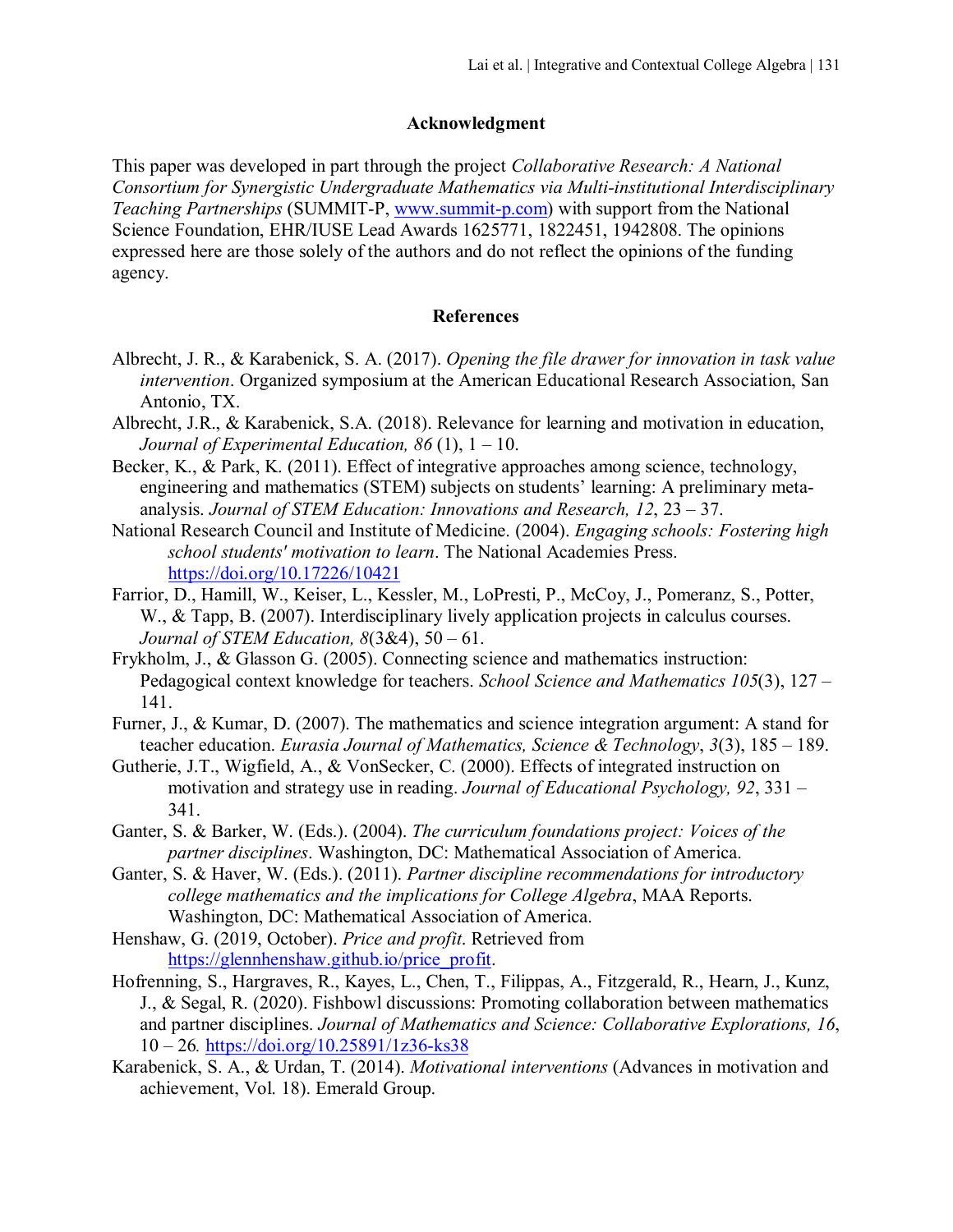#### **Acknowledgment**

This paper was developed in part through the project *Collaborative Research: A National Consortium for Synergistic Undergraduate Mathematics via Multi-institutional Interdisciplinary Teaching Partnerships* (SUMMIT-P, [www.summit-p.com\)](http://www.summit-p.com/) with support from the National Science Foundation, EHR/IUSE Lead Awards 1625771, 1822451, 1942808. The opinions expressed here are those solely of the authors and do not reflect the opinions of the funding agency.

#### **References**

- Albrecht, J. R., & Karabenick, S. A. (2017). *Opening the file drawer for innovation in task value intervention*. Organized symposium at the American Educational Research Association, San Antonio, TX.
- Albrecht, J.R., & Karabenick, S.A. (2018). Relevance for learning and motivation in education, *Journal of Experimental Education, 86* (1), 1 – 10.
- Becker, K., & Park, K. (2011). Effect of integrative approaches among science, technology, engineering and mathematics (STEM) subjects on students' learning: A preliminary metaanalysis. *Journal of STEM Education: Innovations and Research, 12*, 23 – 37.
- National Research Council and Institute of Medicine. (2004). *Engaging schools: Fostering high school students' motivation to learn*. The National Academies Press. <https://doi.org/10.17226/10421>
- Farrior, D., Hamill, W., Keiser, L., Kessler, M., LoPresti, P., McCoy, J., Pomeranz, S., Potter, W., & Tapp, B. (2007). Interdisciplinary lively application projects in calculus courses. *Journal of STEM Education, 8*(3&4), 50 – 61.
- Frykholm, J., & Glasson G. (2005). Connecting science and mathematics instruction: Pedagogical context knowledge for teachers. *School Science and Mathematics 105*(3), 127 – 141.
- Furner, J., & Kumar, D. (2007). The mathematics and science integration argument: A stand for teacher education. *Eurasia Journal of Mathematics, Science & Technology*, *3*(3), 185 – 189.
- Gutherie, J.T., Wigfield, A., & VonSecker, C. (2000). Effects of integrated instruction on motivation and strategy use in reading. *Journal of Educational Psychology, 92*, 331 – 341.
- Ganter, S. & Barker, W. (Eds.). (2004). *The curriculum foundations project: Voices of the partner disciplines*. Washington, DC: Mathematical Association of America.
- Ganter, S. & Haver, W. (Eds.). (2011). *Partner discipline recommendations for introductory college mathematics and the implications for College Algebra*, MAA Reports. Washington, DC: Mathematical Association of America.
- Henshaw, G. (2019, October). *Price and profit*. Retrieved from [https://glennhenshaw.github.io/price\\_profit.](https://glennhenshaw.github.io/price_profit)
- Hofrenning, S., Hargraves, R., Kayes, L., Chen, T., Filippas, A., Fitzgerald, R., Hearn, J., Kunz, J., & Segal, R. (2020). Fishbowl discussions: Promoting collaboration between mathematics and partner disciplines. *Journal of Mathematics and Science: Collaborative Explorations, 16*, 10 – 26*.* <https://doi.org/10.25891/1z36-ks38>
- Karabenick, S. A., & Urdan, T. (2014). *Motivational interventions* (Advances in motivation and achievement, Vol. 18). Emerald Group.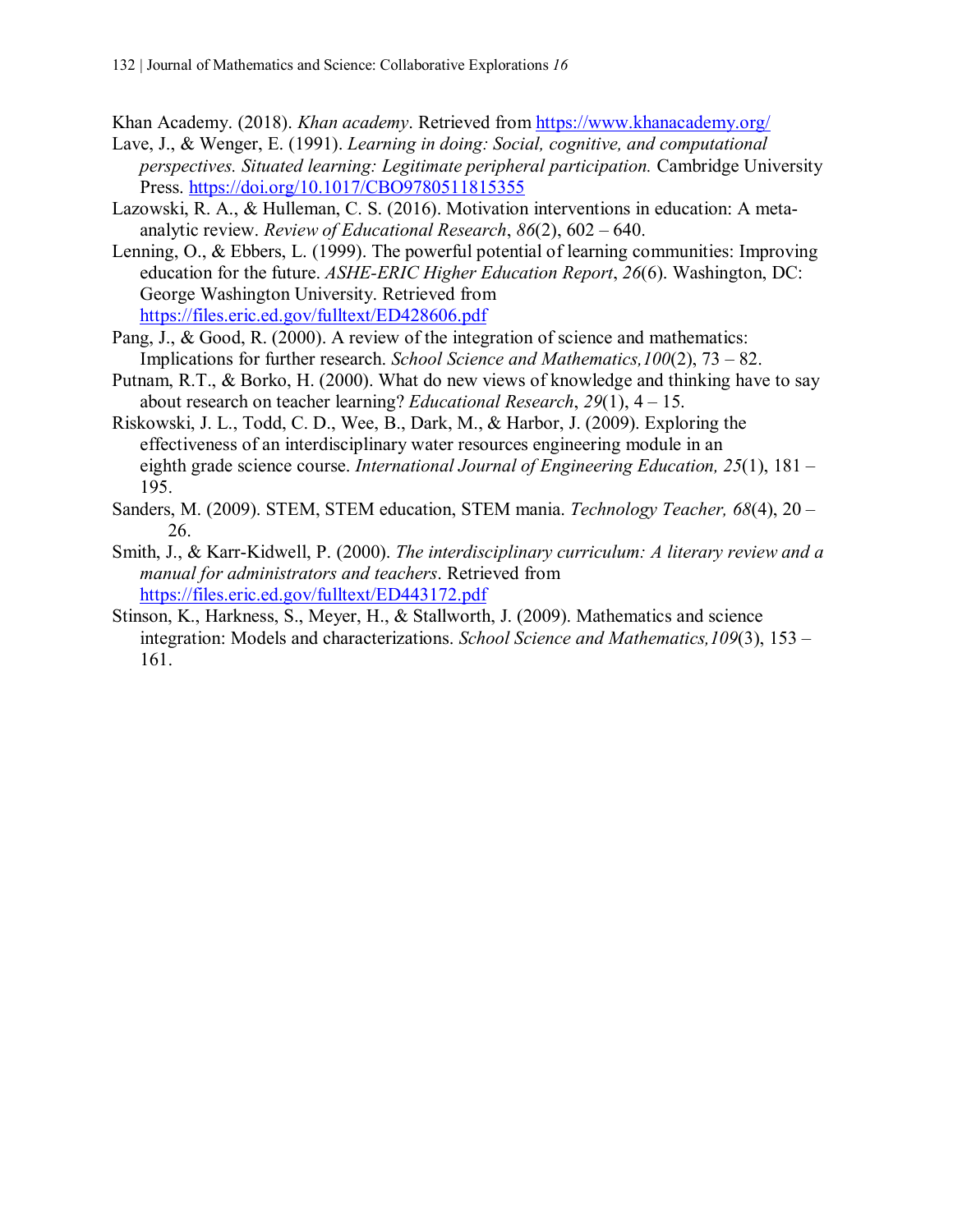Khan Academy. (2018). *Khan academy*. Retrieved from<https://www.khanacademy.org/>

- Lave, J., & Wenger, E. (1991). *Learning in doing: Social, cognitive, and computational perspectives. Situated learning: Legitimate peripheral participation.* Cambridge University Press. [https://doi.org/10.1017/CBO9780511815355](https://psycnet.apa.org/doi/10.1017/CBO9780511815355)
- Lazowski, R. A., & Hulleman, C. S. (2016). Motivation interventions in education: A metaanalytic review. *Review of Educational Research*, *86*(2), 602 – 640.
- Lenning, O., & Ebbers, L. (1999). The powerful potential of learning communities: Improving education for the future. *ASHE-ERIC Higher Education Report*, *26*(6). Washington, DC: George Washington University. Retrieved from <https://files.eric.ed.gov/fulltext/ED428606.pdf>
- Pang, J., & Good, R. (2000). A review of the integration of science and mathematics: Implications for further research. *School Science and Mathematics,100*(2), 73 – 82.
- Putnam, R.T., & Borko, H. (2000). What do new views of knowledge and thinking have to say about research on teacher learning? *Educational Research*, *29*(1), 4 – 15.
- Riskowski, J. L., Todd, C. D., Wee, B., Dark, M., & Harbor, J. (2009). Exploring the effectiveness of an interdisciplinary water resources engineering module in an eighth grade science course. *International Journal of Engineering Education, 25*(1), 181 – 195.
- Sanders, M. (2009). STEM, STEM education, STEM mania. *Technology Teacher, 68*(4), 20 26.
- Smith, J., & Karr-Kidwell, P. (2000). *The interdisciplinary curriculum: A literary review and a manual for administrators and teachers*. Retrieved from <https://files.eric.ed.gov/fulltext/ED443172.pdf>
- Stinson, K., Harkness, S., Meyer, H., & Stallworth, J. (2009). Mathematics and science integration: Models and characterizations. *School Science and Mathematics,109*(3), 153 – 161.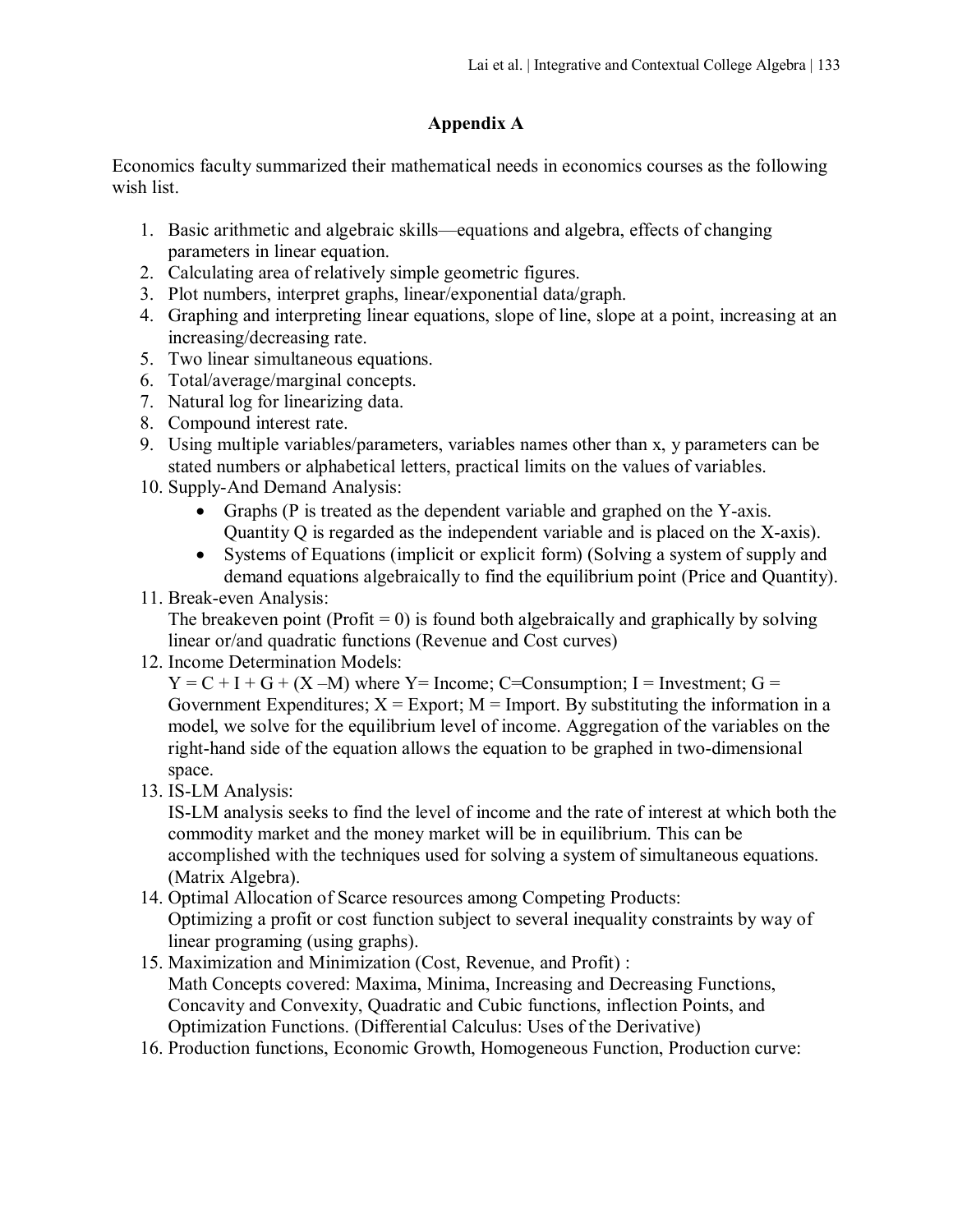## **Appendix A**

Economics faculty summarized their mathematical needs in economics courses as the following wish list.

- 1. Basic arithmetic and algebraic skills—equations and algebra, effects of changing parameters in linear equation.
- 2. Calculating area of relatively simple geometric figures.
- 3. Plot numbers, interpret graphs, linear/exponential data/graph.
- 4. Graphing and interpreting linear equations, slope of line, slope at a point, increasing at an increasing/decreasing rate.
- 5. Two linear simultaneous equations.
- 6. Total/average/marginal concepts.
- 7. Natural log for linearizing data.
- 8. Compound interest rate.
- 9. Using multiple variables/parameters, variables names other than x, y parameters can be stated numbers or alphabetical letters, practical limits on the values of variables.
- 10. Supply-And Demand Analysis:
	- Graphs (P is treated as the dependent variable and graphed on the Y-axis. Quantity Q is regarded as the independent variable and is placed on the X-axis).
	- Systems of Equations (implicit or explicit form) (Solving a system of supply and demand equations algebraically to find the equilibrium point (Price and Quantity).

## 11. Break-even Analysis:

The breakeven point (Profit  $= 0$ ) is found both algebraically and graphically by solving linear or/and quadratic functions (Revenue and Cost curves)

12. Income Determination Models:

 $Y = C + I + G + (X - M)$  where Y = Income; C = Consumption; I = Investment; G = Government Expenditures;  $X =$  Export; M = Import. By substituting the information in a model, we solve for the equilibrium level of income. Aggregation of the variables on the right-hand side of the equation allows the equation to be graphed in two-dimensional space.

13. IS-LM Analysis:

IS-LM analysis seeks to find the level of income and the rate of interest at which both the commodity market and the money market will be in equilibrium. This can be accomplished with the techniques used for solving a system of simultaneous equations. (Matrix Algebra).

- 14. Optimal Allocation of Scarce resources among Competing Products: Optimizing a profit or cost function subject to several inequality constraints by way of linear programing (using graphs).
- 15. Maximization and Minimization (Cost, Revenue, and Profit) : Math Concepts covered: Maxima, Minima, Increasing and Decreasing Functions, Concavity and Convexity, Quadratic and Cubic functions, inflection Points, and Optimization Functions. (Differential Calculus: Uses of the Derivative)
- 16. Production functions, Economic Growth, Homogeneous Function, Production curve: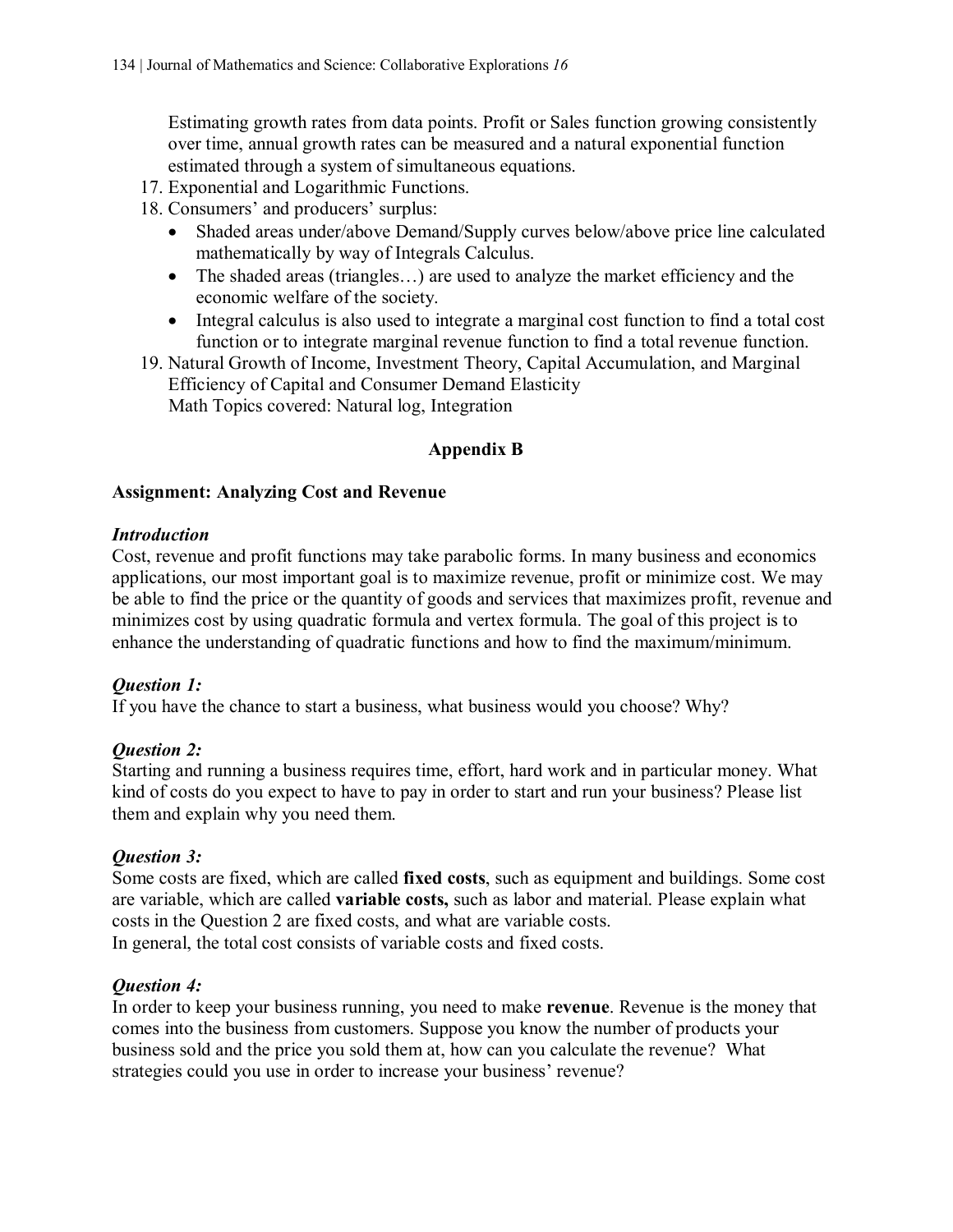Estimating growth rates from data points. Profit or Sales function growing consistently over time, annual growth rates can be measured and a natural exponential function estimated through a system of simultaneous equations.

- 17. Exponential and Logarithmic Functions.
- 18. Consumers' and producers' surplus:
	- Shaded areas under/above Demand/Supply curves below/above price line calculated mathematically by way of Integrals Calculus.
	- The shaded areas (triangles...) are used to analyze the market efficiency and the economic welfare of the society.
	- Integral calculus is also used to integrate a marginal cost function to find a total cost function or to integrate marginal revenue function to find a total revenue function.
- 19. Natural Growth of Income, Investment Theory, Capital Accumulation, and Marginal Efficiency of Capital and Consumer Demand Elasticity Math Topics covered: Natural log, Integration

## **Appendix B**

## **Assignment: Analyzing Cost and Revenue**

#### *Introduction*

Cost, revenue and profit functions may take parabolic forms. In many business and economics applications, our most important goal is to maximize revenue, profit or minimize cost. We may be able to find the price or the quantity of goods and services that maximizes profit, revenue and minimizes cost by using quadratic formula and vertex formula. The goal of this project is to enhance the understanding of quadratic functions and how to find the maximum/minimum.

## *Question 1:*

If you have the chance to start a business, what business would you choose? Why?

## *Question 2:*

Starting and running a business requires time, effort, hard work and in particular money. What kind of costs do you expect to have to pay in order to start and run your business? Please list them and explain why you need them.

#### *Question 3:*

Some costs are fixed, which are called **fixed costs**, such as equipment and buildings. Some cost are variable, which are called **variable costs,** such as labor and material. Please explain what costs in the Question 2 are fixed costs, and what are variable costs. In general, the total cost consists of variable costs and fixed costs.

## *Question 4:*

In order to keep your business running, you need to make **revenue**. Revenue is the money that comes into the business from customers. Suppose you know the number of products your business sold and the price you sold them at, how can you calculate the revenue? What strategies could you use in order to increase your business' revenue?